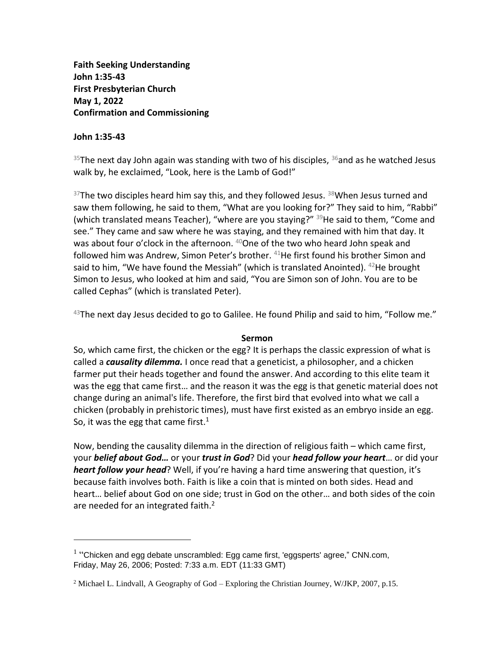**Faith Seeking Understanding John 1:35-43 First Presbyterian Church May 1, 2022 Confirmation and Commissioning**

## **John 1:35-43**

<sup>35</sup>The next day John again was standing with two of his disciples,  $36$  and as he watched Jesus walk by, he exclaimed, "Look, here is the Lamb of God!"

 $37$ The two disciples heard him say this, and they followed Jesus.  $38$ When Jesus turned and saw them following, he said to them, "What are you looking for?" They said to him, "Rabbi" (which translated means Teacher), "where are you staying?"  $39$ He said to them, "Come and see." They came and saw where he was staying, and they remained with him that day. It was about four o'clock in the afternoon. <sup>40</sup>One of the two who heard John speak and followed him was Andrew, Simon Peter's brother. <sup>41</sup>He first found his brother Simon and said to him, "We have found the Messiah" (which is translated Anointed).  $42$ He brought Simon to Jesus, who looked at him and said, "You are Simon son of John. You are to be called Cephas" (which is translated Peter).

 $^{43}$ The next day Jesus decided to go to Galilee. He found Philip and said to him, "Follow me."

## **Sermon**

So, which came first, the chicken or the egg? It is perhaps the classic expression of what is called a *causality dilemma.* I once read that a geneticist, a philosopher, and a chicken farmer put their heads together and found the answer. And according to this elite team it was the egg that came first… and the reason it was the egg is that genetic material does not change during an animal's life. Therefore, the first bird that evolved into what we call a chicken (probably in prehistoric times), must have first existed as an embryo inside an egg. So, it was the egg that came first. $1$ 

Now, bending the causality dilemma in the direction of religious faith – which came first, your *belief about God…* or your *trust in God*? Did your *head follow your heart*… or did your *heart follow your head*? Well, if you're having a hard time answering that question, it's because faith involves both. Faith is like a coin that is minted on both sides. Head and heart… belief about God on one side; trust in God on the other… and both sides of the coin are needed for an integrated faith.<sup>2</sup>

 $<sup>1</sup>$  "Chicken and egg debate unscrambled: Egg came first, 'eggsperts' agree," CNN.com,</sup> Friday, May 26, 2006; Posted: 7:33 a.m. EDT (11:33 GMT)

<sup>&</sup>lt;sup>2</sup> Michael L. Lindvall, A Geography of God – Exploring the Christian Journey, W/JKP, 2007, p.15.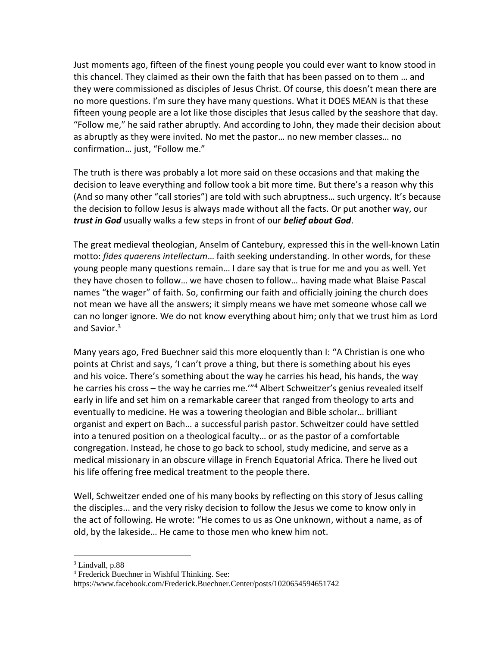Just moments ago, fifteen of the finest young people you could ever want to know stood in this chancel. They claimed as their own the faith that has been passed on to them … and they were commissioned as disciples of Jesus Christ. Of course, this doesn't mean there are no more questions. I'm sure they have many questions. What it DOES MEAN is that these fifteen young people are a lot like those disciples that Jesus called by the seashore that day. "Follow me," he said rather abruptly. And according to John, they made their decision about as abruptly as they were invited. No met the pastor… no new member classes… no confirmation… just, "Follow me."

The truth is there was probably a lot more said on these occasions and that making the decision to leave everything and follow took a bit more time. But there's a reason why this (And so many other "call stories") are told with such abruptness… such urgency. It's because the decision to follow Jesus is always made without all the facts. Or put another way, our *trust in God* usually walks a few steps in front of our *belief about God*.

The great medieval theologian, Anselm of Cantebury, expressed this in the well-known Latin motto: *fides quaerens intellectum*… faith seeking understanding. In other words, for these young people many questions remain… I dare say that is true for me and you as well. Yet they have chosen to follow… we have chosen to follow… having made what Blaise Pascal names "the wager" of faith. So, confirming our faith and officially joining the church does not mean we have all the answers; it simply means we have met someone whose call we can no longer ignore. We do not know everything about him; only that we trust him as Lord and Savior.<sup>3</sup>

Many years ago, Fred Buechner said this more eloquently than I: "A Christian is one who points at Christ and says, 'I can't prove a thing, but there is something about his eyes and his voice. There's something about the way he carries his head, his hands, the way he carries his cross – the way he carries me.'"<sup>4</sup> Albert Schweitzer's genius revealed itself early in life and set him on a remarkable career that ranged from theology to arts and eventually to medicine. He was a towering theologian and Bible scholar… brilliant organist and expert on Bach… a successful parish pastor. Schweitzer could have settled into a tenured position on a theological faculty… or as the pastor of a comfortable congregation. Instead, he chose to go back to school, study medicine, and serve as a medical missionary in an obscure village in French Equatorial Africa. There he lived out his life offering free medical treatment to the people there.

Well, Schweitzer ended one of his many books by reflecting on this story of Jesus calling the disciples... and the very risky decision to follow the Jesus we come to know only in the act of following. He wrote: "He comes to us as One unknown, without a name, as of old, by the lakeside… He came to those men who knew him not.

<sup>&</sup>lt;sup>3</sup> Lindvall, p.88

<sup>4</sup> Frederick Buechner in Wishful Thinking. See:

https://www.facebook.com/Frederick.Buechner.Center/posts/1020654594651742